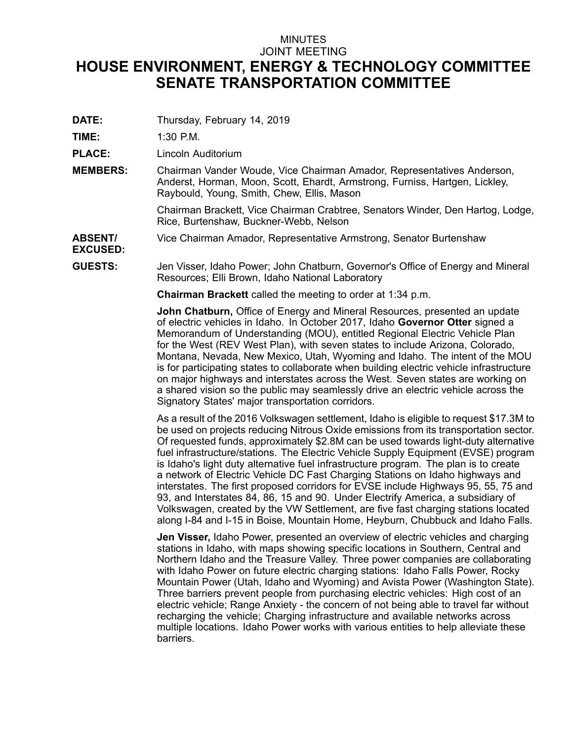## MINUTES JOINT MEETING **HOUSE ENVIRONMENT, ENERGY & TECHNOLOGY COMMITTEE SENATE TRANSPORTATION COMMITTEE**

**DATE:** Thursday, February 14, 2019

**TIME:** 1:30 P.M.

**PLACE:** Lincoln Auditorium

**MEMBERS:** Chairman Vander Woude, Vice Chairman Amador, Representatives Anderson, Anderst, Horman, Moon, Scott, Ehardt, Armstrong, Furniss, Hartgen, Lickley, Raybould, Young, Smith, Chew, Ellis, Mason

> Chairman Brackett, Vice Chairman Crabtree, Senators Winder, Den Hartog, Lodge, Rice, Burtenshaw, Buckner-Webb, Nelson

**ABSENT/** Vice Chairman Amador, Representative Armstrong, Senator Burtenshaw

**EXCUSED:**

**GUESTS:** Jen Visser, Idaho Power; John Chatburn, Governor's Office of Energy and Mineral Resources; Elli Brown, Idaho National Laboratory

**Chairman Brackett** called the meeting to order at 1:34 p.m.

**John Chatburn,** Office of Energy and Mineral Resources, presented an update of electric vehicles in Idaho. In October 2017, Idaho **Governor Otter** signed <sup>a</sup> Memorandum of Understanding (MOU), entitled Regional Electric Vehicle Plan for the West (REV West Plan), with seven states to include Arizona, Colorado, Montana, Nevada, New Mexico, Utah, Wyoming and Idaho. The intent of the MOU is for participating states to collaborate when building electric vehicle infrastructure on major highways and interstates across the West. Seven states are working on <sup>a</sup> shared vision so the public may seamlessly drive an electric vehicle across the Signatory States' major transportation corridors.

As <sup>a</sup> result of the 2016 Volkswagen settlement, Idaho is eligible to request \$17.3M to be used on projects reducing Nitrous Oxide emissions from its transportation sector. Of requested funds, approximately \$2.8M can be used towards light-duty alternative fuel infrastructure/stations. The Electric Vehicle Supply Equipment (EVSE) program is Idaho's light duty alternative fuel infrastructure program. The plan is to create <sup>a</sup> network of Electric Vehicle DC Fast Charging Stations on Idaho highways and interstates. The first proposed corridors for EVSE include Highways 95, 55, 75 and 93, and Interstates 84, 86, 15 and 90. Under Electrify America, <sup>a</sup> subsidiary of Volkswagen, created by the VW Settlement, are five fast charging stations located along I-84 and I-15 in Boise, Mountain Home, Heyburn, Chubbuck and Idaho Falls.

**Jen Visser,** Idaho Power, presented an overview of electric vehicles and charging stations in Idaho, with maps showing specific locations in Southern, Central and Northern Idaho and the Treasure Valley. Three power companies are collaborating with Idaho Power on future electric charging stations: Idaho Falls Power, Rocky Mountain Power (Utah, Idaho and Wyoming) and Avista Power (Washington State). Three barriers prevent people from purchasing electric vehicles: High cost of an electric vehicle; Range Anxiety - the concern of not being able to travel far without recharging the vehicle; Charging infrastructure and available networks across multiple locations. Idaho Power works with various entities to help alleviate these barriers.